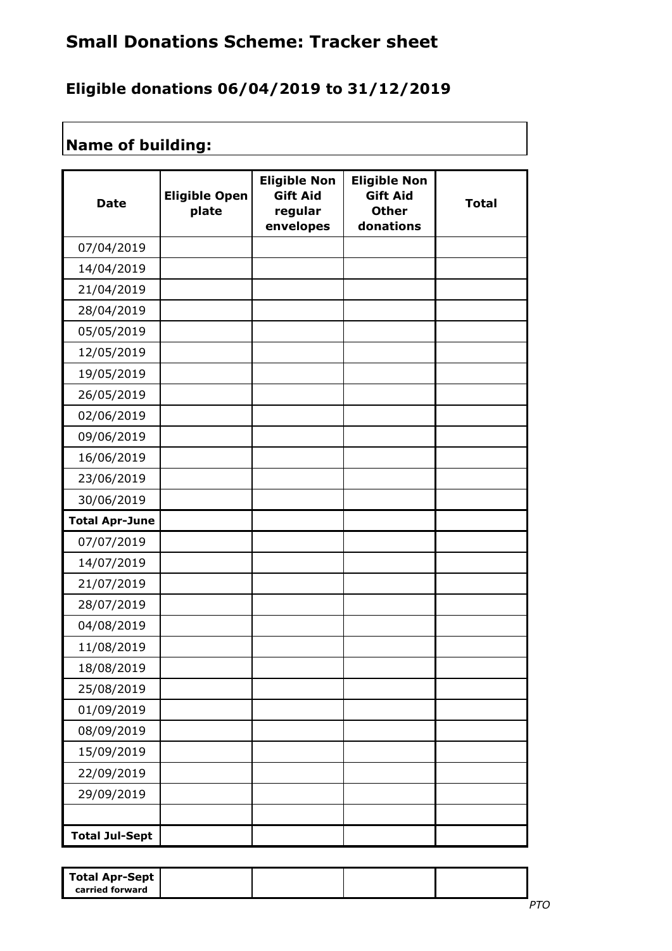## **Small Donations Scheme: Tracker sheet**

## **Eligible donations 06/04/2019 to 31/12/2019**

## **Name of building:**

| <b>Date</b>           | <b>Eligible Open</b><br>plate | <b>Eligible Non</b><br><b>Gift Aid</b><br>regular<br>envelopes | <b>Eligible Non</b><br><b>Gift Aid</b><br><b>Other</b><br>donations | <b>Total</b> |
|-----------------------|-------------------------------|----------------------------------------------------------------|---------------------------------------------------------------------|--------------|
| 07/04/2019            |                               |                                                                |                                                                     |              |
| 14/04/2019            |                               |                                                                |                                                                     |              |
| 21/04/2019            |                               |                                                                |                                                                     |              |
| 28/04/2019            |                               |                                                                |                                                                     |              |
| 05/05/2019            |                               |                                                                |                                                                     |              |
| 12/05/2019            |                               |                                                                |                                                                     |              |
| 19/05/2019            |                               |                                                                |                                                                     |              |
| 26/05/2019            |                               |                                                                |                                                                     |              |
| 02/06/2019            |                               |                                                                |                                                                     |              |
| 09/06/2019            |                               |                                                                |                                                                     |              |
| 16/06/2019            |                               |                                                                |                                                                     |              |
| 23/06/2019            |                               |                                                                |                                                                     |              |
| 30/06/2019            |                               |                                                                |                                                                     |              |
| <b>Total Apr-June</b> |                               |                                                                |                                                                     |              |
| 07/07/2019            |                               |                                                                |                                                                     |              |
| 14/07/2019            |                               |                                                                |                                                                     |              |
| 21/07/2019            |                               |                                                                |                                                                     |              |
| 28/07/2019            |                               |                                                                |                                                                     |              |
| 04/08/2019            |                               |                                                                |                                                                     |              |
| 11/08/2019            |                               |                                                                |                                                                     |              |
| 18/08/2019            |                               |                                                                |                                                                     |              |
| 25/08/2019            |                               |                                                                |                                                                     |              |
| 01/09/2019            |                               |                                                                |                                                                     |              |
| 08/09/2019            |                               |                                                                |                                                                     |              |
| 15/09/2019            |                               |                                                                |                                                                     |              |
| 22/09/2019            |                               |                                                                |                                                                     |              |
| 29/09/2019            |                               |                                                                |                                                                     |              |
|                       |                               |                                                                |                                                                     |              |
| <b>Total Jul-Sept</b> |                               |                                                                |                                                                     |              |

| Total Apr-Sept  <br>carried forward |  |  |
|-------------------------------------|--|--|
|-------------------------------------|--|--|